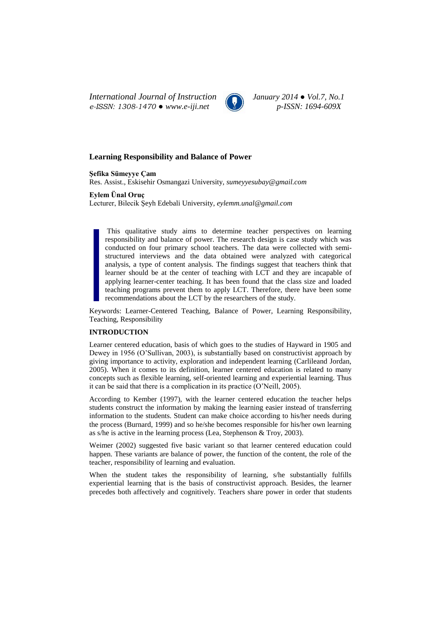*International Journal of Instruction January 2014 ● Vol.7, No.1 e-ISSN: 1308-1470 ● www.e-iji.net p-ISSN: 1694-609X*



### **Learning Responsibility and Balance of Power**

**Şefika Sümeyye Çam**

Res. Assist., Eskisehir Osmangazi University, *sumeyyesubay@gmail.com*

**Eylem Ünal Oruç**

Lecturer, Bilecik Şeyh Edebali University, *eylemm.unal@gmail.com*

This qualitative study aims to determine teacher perspectives on learning responsibility and balance of power. The research design is case study which was conducted on four primary school teachers. The data were collected with semistructured interviews and the data obtained were analyzed with categorical analysis, a type of content analysis. The findings suggest that teachers think that learner should be at the center of teaching with LCT and they are incapable of applying learner-center teaching. It has been found that the class size and loaded teaching programs prevent them to apply LCT. Therefore, there have been some recommendations about the LCT by the researchers of the study.

Keywords: Learner-Centered Teaching, Balance of Power, Learning Responsibility, Teaching, Responsibility

## **INTRODUCTION**

Learner centered education, basis of which goes to the studies of Hayward in 1905 and Dewey in 1956 (O'Sullivan, 2003), is substantially based on constructivist approach by giving importance to activity, exploration and independent learning (Carlileand Jordan, 2005). When it comes to its definition, learner centered education is related to many concepts such as flexible learning, self-oriented learning and experiential learning. Thus it can be said that there is a complication in its practice (O'Neill, 2005).

According to Kember (1997), with the learner centered education the teacher helps students construct the information by making the learning easier instead of transferring information to the students. Student can make choice according to his/her needs during the process (Burnard, 1999) and so he/she becomes responsible for his/her own learning as s/he is active in the learning process (Lea, Stephenson & Troy, 2003).

Weimer (2002) suggested five basic variant so that learner centered education could happen. These variants are balance of power, the function of the content, the role of the teacher, responsibility of learning and evaluation.

When the student takes the responsibility of learning, s/he substantially fulfills experiential learning that is the basis of constructivist approach. Besides, the learner precedes both affectively and cognitively. Teachers share power in order that students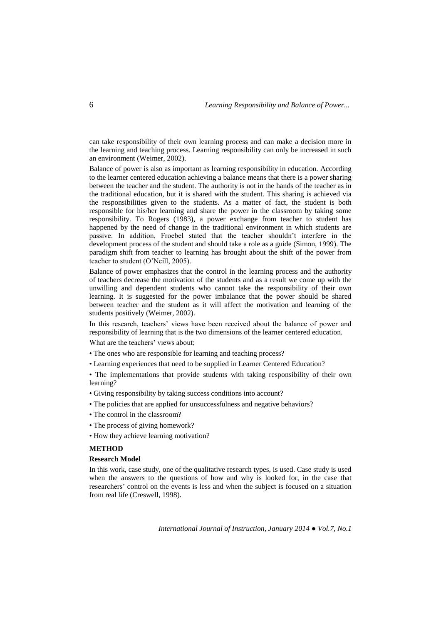can take responsibility of their own learning process and can make a decision more in the learning and teaching process. Learning responsibility can only be increased in such an environment (Weimer, 2002).

Balance of power is also as important as learning responsibility in education. According to the learner centered education achieving a balance means that there is a power sharing between the teacher and the student. The authority is not in the hands of the teacher as in the traditional education, but it is shared with the student. This sharing is achieved via the responsibilities given to the students. As a matter of fact, the student is both responsible for his/her learning and share the power in the classroom by taking some responsibility. To Rogers (1983), a power exchange from teacher to student has happened by the need of change in the traditional environment in which students are passive. In addition, Froebel stated that the teacher shouldn't interfere in the development process of the student and should take a role as a guide (Simon, 1999). The paradigm shift from teacher to learning has brought about the shift of the power from teacher to student (O'Neill, 2005).

Balance of power emphasizes that the control in the learning process and the authority of teachers decrease the motivation of the students and as a result we come up with the unwilling and dependent students who cannot take the responsibility of their own learning. It is suggested for the power imbalance that the power should be shared between teacher and the student as it will affect the motivation and learning of the students positively (Weimer, 2002).

In this research, teachers' views have been received about the balance of power and responsibility of learning that is the two dimensions of the learner centered education.

What are the teachers' views about;

- The ones who are responsible for learning and teaching process?
- Learning experiences that need to be supplied in Learner Centered Education?

• The implementations that provide students with taking responsibility of their own learning?

- Giving responsibility by taking success conditions into account?
- The policies that are applied for unsuccessfulness and negative behaviors?
- The control in the classroom?
- The process of giving homework?
- How they achieve learning motivation?

### **METHOD**

### **Research Model**

In this work, case study, one of the qualitative research types, is used. Case study is used when the answers to the questions of how and why is looked for, in the case that researchers' control on the events is less and when the subject is focused on a situation from real life (Creswell, 1998).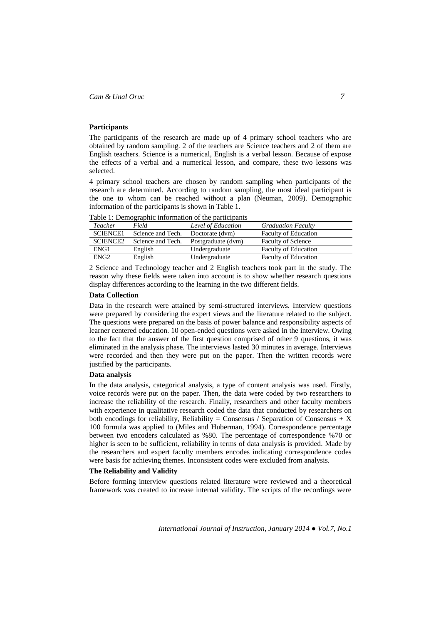## **Participants**

The participants of the research are made up of 4 primary school teachers who are obtained by random sampling. 2 of the teachers are Science teachers and 2 of them are English teachers. Science is a numerical, English is a verbal lesson. Because of expose the effects of a verbal and a numerical lesson, and compare, these two lessons was selected.

4 primary school teachers are chosen by random sampling when participants of the research are determined. According to random sampling, the most ideal participant is the one to whom can be reached without a plan (Neuman, 2009). Demographic information of the participants is shown in Table 1.

Table 1: Demographic information of the participants

| <b>Teacher</b>   | Field             | Level of Education | <b>Graduation Faculty</b>   |
|------------------|-------------------|--------------------|-----------------------------|
| <b>SCIENCE1</b>  | Science and Tech. | Doctorate (dvm)    | <b>Faculty of Education</b> |
| <b>SCIENCE2</b>  | Science and Tech. | Postgraduate (dvm) | <b>Faculty of Science</b>   |
| ENG1             | English           | Undergraduate      | <b>Faculty of Education</b> |
| ENG <sub>2</sub> | English           | Undergraduate      | <b>Faculty of Education</b> |
|                  |                   |                    |                             |

2 Science and Technology teacher and 2 English teachers took part in the study. The reason why these fields were taken into account is to show whether research questions display differences according to the learning in the two different fields.

## **Data Collection**

Data in the research were attained by semi-structured interviews. Interview questions were prepared by considering the expert views and the literature related to the subject. The questions were prepared on the basis of power balance and responsibility aspects of learner centered education. 10 open-ended questions were asked in the interview. Owing to the fact that the answer of the first question comprised of other 9 questions, it was eliminated in the analysis phase. The interviews lasted 30 minutes in average. Interviews were recorded and then they were put on the paper. Then the written records were justified by the participants.

# **Data analysis**

In the data analysis, categorical analysis, a type of content analysis was used. Firstly, voice records were put on the paper. Then, the data were coded by two researchers to increase the reliability of the research. Finally, researchers and other faculty members with experience in qualitative research coded the data that conducted by researchers on both encodings for reliability, Reliability = Consensus / Separation of Consensus  $+ X$ 100 formula was applied to (Miles and Huberman, 1994). Correspondence percentage between two encoders calculated as %80. The percentage of correspondence %70 or higher is seen to be sufficient, reliability in terms of data analysis is provided. Made by the researchers and expert faculty members encodes indicating correspondence codes were basis for achieving themes. Inconsistent codes were excluded from analysis.

### **The Reliability and Validity**

Before forming interview questions related literature were reviewed and a theoretical framework was created to increase internal validity. The scripts of the recordings were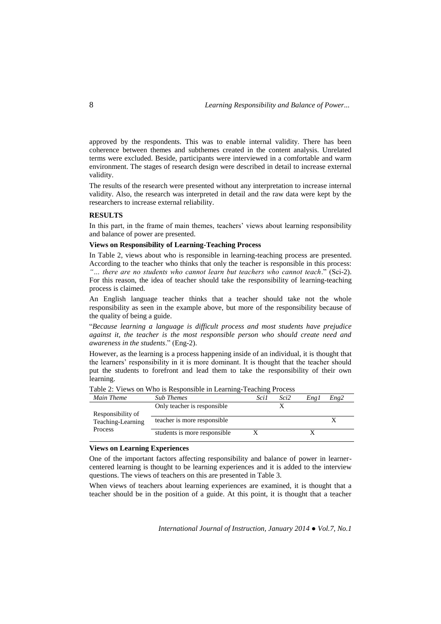approved by the respondents. This was to enable internal validity. There has been coherence between themes and subthemes created in the content analysis. Unrelated terms were excluded. Beside, participants were interviewed in a comfortable and warm environment. The stages of research design were described in detail to increase external validity.

The results of the research were presented without any interpretation to increase internal validity. Also, the research was interpreted in detail and the raw data were kept by the researchers to increase external reliability.

#### **RESULTS**

In this part, in the frame of main themes, teachers' views about learning responsibility and balance of power are presented.

## **Views on Responsibility of Learning-Teaching Process**

In Table 2, views about who is responsible in learning-teaching process are presented. According to the teacher who thinks that only the teacher is responsible in this process: *"… there are no students who cannot learn but teachers who cannot teach*." (Sci-2). For this reason, the idea of teacher should take the responsibility of learning-teaching process is claimed.

An English language teacher thinks that a teacher should take not the whole responsibility as seen in the example above, but more of the responsibility because of the quality of being a guide.

"*Because learning a language is difficult process and most students have prejudice against it, the teacher is the most responsible person who should create need and awareness in the students*." (Eng-2).

However, as the learning is a process happening inside of an individual, it is thought that the learners' responsibility in it is more dominant. It is thought that the teacher should put the students to forefront and lead them to take the responsibility of their own learning.

| Main Theme                          | <b>Sub Themes</b>            | Sci1 | Sci2 | Engl | Eng2 |
|-------------------------------------|------------------------------|------|------|------|------|
|                                     | Only teacher is responsible. |      |      |      |      |
| Responsibility of                   |                              |      |      |      |      |
| Teaching-Learning<br><b>Process</b> | teacher is more responsible  |      |      |      |      |
|                                     | students is more responsible |      |      |      |      |

Table 2: Views on Who is Responsible in Learning-Teaching Process

#### **Views on Learning Experiences**

One of the important factors affecting responsibility and balance of power in learnercentered learning is thought to be learning experiences and it is added to the interview questions. The views of teachers on this are presented in Table 3.

When views of teachers about learning experiences are examined, it is thought that a teacher should be in the position of a guide. At this point, it is thought that a teacher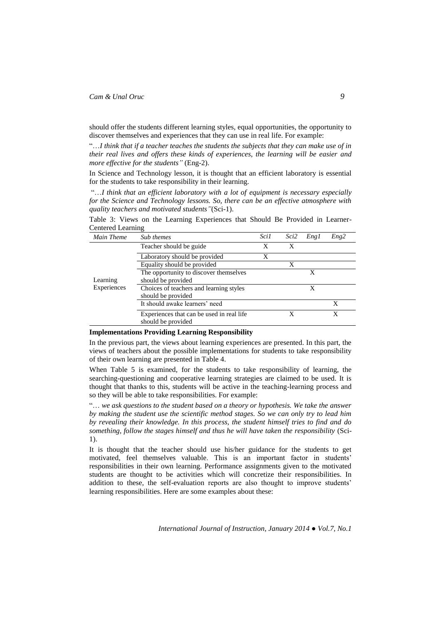should offer the students different learning styles, equal opportunities, the opportunity to discover themselves and experiences that they can use in real life. For example:

"…*I think that if a teacher teaches the students the subjects that they can make use of in their real lives and offers these kinds of experiences, the learning will be easier and more effective for the students"* (Eng-2).

In Science and Technology lesson, it is thought that an efficient laboratory is essential for the students to take responsibility in their learning.

"…*I think that an efficient laboratory with a lot of equipment is necessary especially for the Science and Technology lessons. So, there can be an effective atmosphere with quality teachers and motivated students"*(Sci-1).

Table 3: Views on the Learning Experiences that Should Be Provided in Learner-Centered Learning

| Sub themes                                | <i>Sci1</i>        | Sci2 | Engl | Eng2 |
|-------------------------------------------|--------------------|------|------|------|
| Teacher should be guide.                  | X                  | X    |      |      |
| Laboratory should be provided             | X                  |      |      |      |
| Equality should be provided               |                    | X    |      |      |
| The opportunity to discover themselves    |                    |      | X    |      |
| should be provided                        |                    |      |      |      |
| Choices of teachers and learning styles   |                    |      | X    |      |
| should be provided                        |                    |      |      |      |
| It should awake learners' need            |                    |      |      | X    |
| Experiences that can be used in real life |                    | X    |      | X    |
|                                           | should be provided |      |      |      |

#### **Implementations Providing Learning Responsibility**

In the previous part, the views about learning experiences are presented. In this part, the views of teachers about the possible implementations for students to take responsibility of their own learning are presented in Table 4.

When Table 5 is examined, for the students to take responsibility of learning, the searching-questioning and cooperative learning strategies are claimed to be used. It is thought that thanks to this, students will be active in the teaching-learning process and so they will be able to take responsibilities. For example:

"… *we ask questions to the student based on a theory or hypothesis. We take the answer by making the student use the scientific method stages. So we can only try to lead him by revealing their knowledge. In this process, the student himself tries to find and do something, follow the stages himself and thus he will have taken the responsibility* (Sci-1).

It is thought that the teacher should use his/her guidance for the students to get motivated, feel themselves valuable. This is an important factor in students' responsibilities in their own learning. Performance assignments given to the motivated students are thought to be activities which will concretize their responsibilities. In addition to these, the self-evaluation reports are also thought to improve students' learning responsibilities. Here are some examples about these: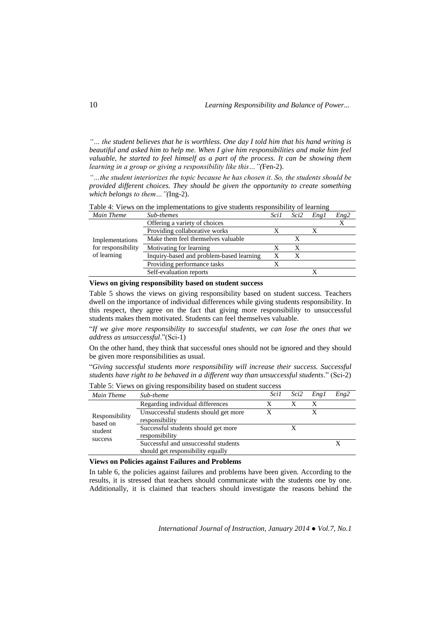*"… the student believes that he is worthless. One day I told him that his hand writing is beautiful and asked him to help me. When I give him responsibilities and make him feel valuable, he started to feel himself as a part of the process. It can be showing them learning in a group or giving a responsibility like this…"(*Fen-2).

*"…the student interiorizes the topic because he has chosen it. So, the students should be provided different choices. They should be given the opportunity to create something which belongs to them…"(*Ing-2).

| Main Theme         | Sub-themes                               | Sci1 | Sci2 | Engl | Eng2 |
|--------------------|------------------------------------------|------|------|------|------|
| Implementations    | Offering a variety of choices            |      |      |      |      |
|                    | Providing collaborative works            |      |      |      |      |
|                    | Make them feel themselves valuable       |      |      |      |      |
| for responsibility | Motivating for learning                  |      | X    |      |      |
| of learning        | Inquiry-based and problem-based learning | X    | X    |      |      |
|                    | Providing performance tasks              |      |      |      |      |
|                    | Self-evaluation reports                  |      |      |      |      |

Table 4: Views on the implementations to give students responsibility of learning

### **Views on giving responsibility based on student success**

Table 5 shows the views on giving responsibility based on student success. Teachers dwell on the importance of individual differences while giving students responsibility. In this respect, they agree on the fact that giving more responsibility to unsuccessful students makes them motivated. Students can feel themselves valuable.

"*If we give more responsibility to successful students, we can lose the ones that we address as unsuccessful*."(Sci-1)

On the other hand, they think that successful ones should not be ignored and they should be given more responsibilities as usual.

"*Giving successful students more responsibility will increase their success. Successful students have right to be behaved in a different way than unsuccessful students*." (Sci-2)

Table 5: Views on giving responsibility based on student success *Main Theme Sub-theme Sci1 Sci2 Eng1 Eng2*

| Main Ineme                                       | мр-тете                                                 | <b>DULI</b> | DUZ. | LIIX 1 | LIV <sub>K</sub> L |
|--------------------------------------------------|---------------------------------------------------------|-------------|------|--------|--------------------|
| Responsibility<br>based on<br>student<br>success | Regarding individual differences                        |             |      |        |                    |
|                                                  | Unsuccessful students should get more<br>responsibility |             |      |        |                    |
|                                                  | Successful students should get more<br>responsibility   |             |      |        |                    |
|                                                  | Successful and unsuccessful students                    |             |      |        |                    |
|                                                  | should get responsibility equally                       |             |      |        |                    |

### **Views on Policies against Failures and Problems**

In table 6, the policies against failures and problems have been given. According to the results, it is stressed that teachers should communicate with the students one by one. Additionally, it is claimed that teachers should investigate the reasons behind the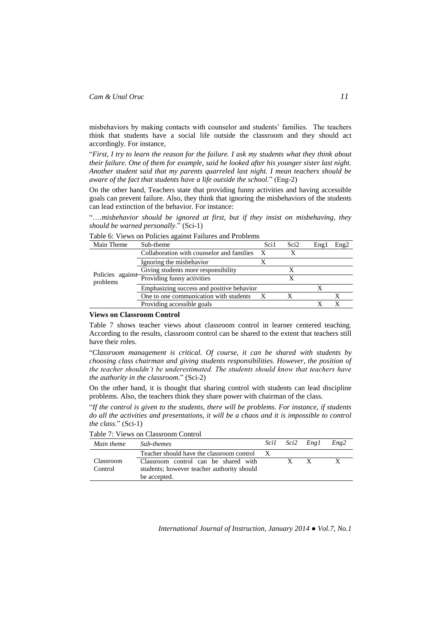misbehaviors by making contacts with counselor and students' families. The teachers think that students have a social life outside the classroom and they should act accordingly. For instance,

"*First, I try to learn the reason for the failure. I ask my students what they think about their failure. One of them for example, said he looked after his younger sister last night. Another student said that my parents quarreled last night. I mean teachers should be aware of the fact that students have a life outside the school.*" (Eng-2)

On the other hand, Teachers state that providing funny activities and having accessible goals can prevent failure. Also, they think that ignoring the misbehaviors of the students can lead extinction of the behavior. For instance:

"….*misbehavior should be ignored at first, but if they insist on misbehaving, they should be warned personally*." (Sci-1)

Table 6: Views on Policies against Failures and Problems

| Main Theme                   | Sub-theme                                 | Sci1         | Sci <sub>2</sub> | Engl | Eng2 |
|------------------------------|-------------------------------------------|--------------|------------------|------|------|
| Policies against<br>problems | Collaboration with counselor and families | $\mathbf{X}$ | X                |      |      |
|                              | Ignoring the misbehavior                  |              |                  |      |      |
|                              | Giving students more responsibility       |              |                  |      |      |
|                              | Providing funny activities                |              |                  |      |      |
|                              | Emphasizing success and positive behavior |              |                  |      |      |
|                              | One to one communication with students    |              |                  |      |      |
|                              | Providing accessible goals                |              |                  |      |      |

#### **Views on Classroom Control**

Table 7 shows teacher views about classroom control in learner centered teaching. According to the results, classroom control can be shared to the extent that teachers still have their roles.

"*Classroom management is critical. Of course, it can be shared with students by choosing class chairman and giving students responsibilities. However, the position of the teacher shouldn't be underestimated. The students should know that teachers have the authority in the classroom*." (Sci-2)

On the other hand, it is thought that sharing control with students can lead discipline problems. Also, the teachers think they share power with chairman of the class.

"*If the control is given to the students, there will be problems. For instance, if students do all the activities and presentations, it will be a chaos and it is impossible to control the class*." (Sci-1)

Table 7: Views on Classroom Control

| Main theme           | Sub-themes                                                                                         |              | Scil Sci2 Engl | Eng2 |
|----------------------|----------------------------------------------------------------------------------------------------|--------------|----------------|------|
|                      | Teacher should have the classroom control X                                                        |              |                |      |
| Classroom<br>Control | Classroom control can be shared with<br>students; however teacher authority should<br>be accepted. | $\mathbf{x}$ |                |      |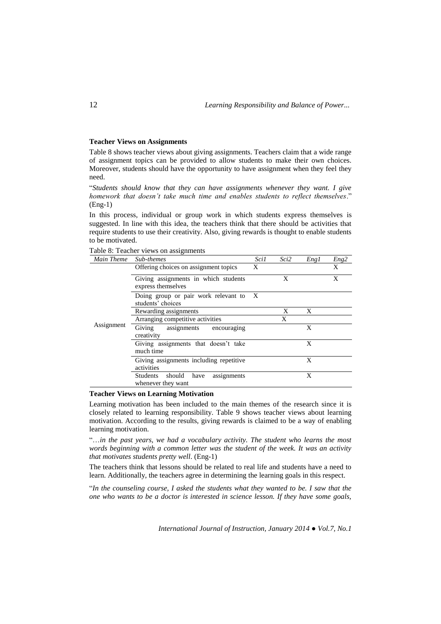### **Teacher Views on Assignments**

Table 8 shows teacher views about giving assignments. Teachers claim that a wide range of assignment topics can be provided to allow students to make their own choices. Moreover, students should have the opportunity to have assignment when they feel they need.

"*Students should know that they can have assignments whenever they want. I give homework that doesn't take much time and enables students to reflect themselves*." (Eng-1)

In this process, individual or group work in which students express themselves is suggested. In line with this idea, the teachers think that there should be activities that require students to use their creativity. Also, giving rewards is thought to enable students to be motivated.

Table 8: Teacher views on assignments

| Main Theme | Sub-themes                                                             | Sci1 | Sci2 | Eng 1 | Eng2 |
|------------|------------------------------------------------------------------------|------|------|-------|------|
|            | Offering choices on assignment topics                                  | X    |      |       | X    |
|            | Giving assignments in which students<br>express themselves             |      | X    |       | X    |
|            | Doing group or pair work relevant to X<br>students' choices            |      |      |       |      |
|            | Rewarding assignments                                                  |      | X    | X     |      |
|            | Arranging competitive activities                                       |      | X    |       |      |
| Assignment | Giving<br>assignments encouraging<br>creativity                        |      |      | X     |      |
|            | Giving assignments that doesn't take<br>much time                      |      |      | X     |      |
|            | Giving assignments including repetitive<br>activities                  |      |      | X     |      |
|            | <b>Students</b><br>should<br>have<br>assignments<br>whenever they want |      |      | X     |      |

### **Teacher Views on Learning Motivation**

Learning motivation has been included to the main themes of the research since it is closely related to learning responsibility. Table 9 shows teacher views about learning motivation. According to the results, giving rewards is claimed to be a way of enabling learning motivation.

"…*in the past years, we had a vocabulary activity. The student who learns the most words beginning with a common letter was the student of the week. It was an activity that motivates students pretty well*. (Eng-1)

The teachers think that lessons should be related to real life and students have a need to learn. Additionally, the teachers agree in determining the learning goals in this respect.

"*In the counseling course, I asked the students what they wanted to be. I saw that the one who wants to be a doctor is interested in science lesson. If they have some goals,*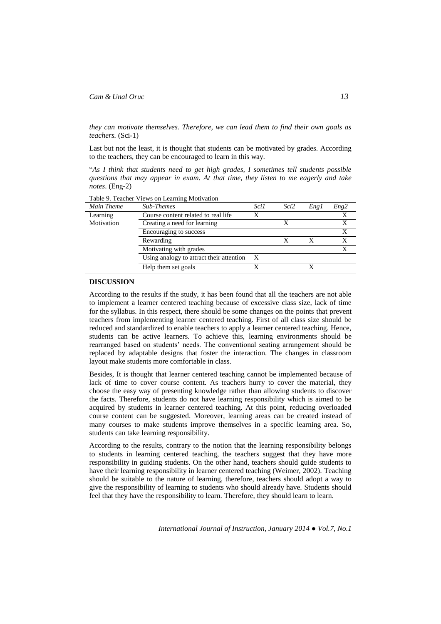*they can motivate themselves. Therefore, we can lead them to find their own goals as teachers.* (Sci-1)

Last but not the least, it is thought that students can be motivated by grades. According to the teachers, they can be encouraged to learn in this way.

"*As I think that students need to get high grades, I sometimes tell students possible questions that may appear in exam. At that time, they listen to me eagerly and take notes*. (Eng-2)

| Table 9. Teacher views on Learning Mouvation |                                              |             |      |      |      |  |
|----------------------------------------------|----------------------------------------------|-------------|------|------|------|--|
| Main Theme                                   | Sub-Themes                                   | <i>Sci1</i> | Sci2 | Engl | Eng2 |  |
| Learning                                     | Course content related to real life          |             |      |      | Х    |  |
| Motivation                                   | Creating a need for learning                 |             |      |      |      |  |
|                                              | Encouraging to success                       |             |      |      | X    |  |
|                                              | Rewarding                                    |             |      |      |      |  |
|                                              | Motivating with grades                       |             |      |      |      |  |
|                                              | Using analogy to attract their attention $X$ |             |      |      |      |  |
|                                              | Help them set goals                          |             |      |      |      |  |

Table 9. Teacher Views on Learning Motivation

## **DISCUSSION**

According to the results if the study, it has been found that all the teachers are not able to implement a learner centered teaching because of excessive class size, lack of time for the syllabus. In this respect, there should be some changes on the points that prevent teachers from implementing learner centered teaching. First of all class size should be reduced and standardized to enable teachers to apply a learner centered teaching. Hence, students can be active learners. To achieve this, learning environments should be rearranged based on students' needs. The conventional seating arrangement should be replaced by adaptable designs that foster the interaction. The changes in classroom layout make students more comfortable in class.

Besides, It is thought that learner centered teaching cannot be implemented because of lack of time to cover course content. As teachers hurry to cover the material, they choose the easy way of presenting knowledge rather than allowing students to discover the facts. Therefore, students do not have learning responsibility which is aimed to be acquired by students in learner centered teaching. At this point, reducing overloaded course content can be suggested. Moreover, learning areas can be created instead of many courses to make students improve themselves in a specific learning area. So, students can take learning responsibility.

According to the results, contrary to the notion that the learning responsibility belongs to students in learning centered teaching, the teachers suggest that they have more responsibility in guiding students. On the other hand, teachers should guide students to have their learning responsibility in learner centered teaching (Weimer, 2002). Teaching should be suitable to the nature of learning, therefore, teachers should adopt a way to give the responsibility of learning to students who should already have. Students should feel that they have the responsibility to learn. Therefore, they should learn to learn.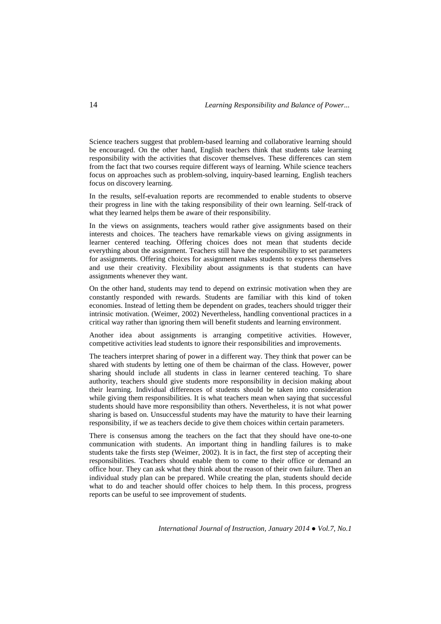Science teachers suggest that problem-based learning and collaborative learning should be encouraged. On the other hand, English teachers think that students take learning responsibility with the activities that discover themselves. These differences can stem from the fact that two courses require different ways of learning. While science teachers focus on approaches such as problem-solving, inquiry-based learning, English teachers focus on discovery learning.

In the results, self-evaluation reports are recommended to enable students to observe their progress in line with the taking responsibility of their own learning. Self-track of what they learned helps them be aware of their responsibility.

In the views on assignments, teachers would rather give assignments based on their interests and choices. The teachers have remarkable views on giving assignments in learner centered teaching. Offering choices does not mean that students decide everything about the assignment. Teachers still have the responsibility to set parameters for assignments. Offering choices for assignment makes students to express themselves and use their creativity. Flexibility about assignments is that students can have assignments whenever they want.

On the other hand, students may tend to depend on extrinsic motivation when they are constantly responded with rewards. Students are familiar with this kind of token economies. Instead of letting them be dependent on grades, teachers should trigger their intrinsic motivation. (Weimer, 2002) Nevertheless, handling conventional practices in a critical way rather than ignoring them will benefit students and learning environment.

Another idea about assignments is arranging competitive activities. However, competitive activities lead students to ignore their responsibilities and improvements.

The teachers interpret sharing of power in a different way. They think that power can be shared with students by letting one of them be chairman of the class. However, power sharing should include all students in class in learner centered teaching. To share authority, teachers should give students more responsibility in decision making about their learning. Individual differences of students should be taken into consideration while giving them responsibilities. It is what teachers mean when saying that successful students should have more responsibility than others. Nevertheless, it is not what power sharing is based on. Unsuccessful students may have the maturity to have their learning responsibility, if we as teachers decide to give them choices within certain parameters.

There is consensus among the teachers on the fact that they should have one-to-one communication with students. An important thing in handling failures is to make students take the firsts step (Weimer, 2002). It is in fact, the first step of accepting their responsibilities. Teachers should enable them to come to their office or demand an office hour. They can ask what they think about the reason of their own failure. Then an individual study plan can be prepared. While creating the plan, students should decide what to do and teacher should offer choices to help them. In this process, progress reports can be useful to see improvement of students.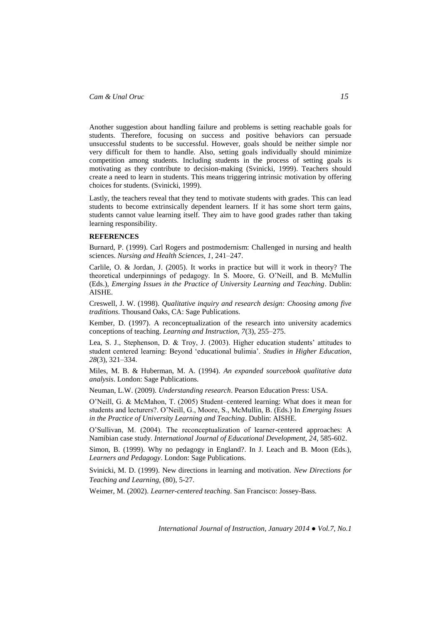Another suggestion about handling failure and problems is setting reachable goals for students. Therefore, focusing on success and positive behaviors can persuade unsuccessful students to be successful. However, goals should be neither simple nor very difficult for them to handle. Also, setting goals individually should minimize competition among students. Including students in the process of setting goals is motivating as they contribute to decision-making (Svinicki, 1999). Teachers should create a need to learn in students. This means triggering intrinsic motivation by offering choices for students. (Svinicki, 1999).

Lastly, the teachers reveal that they tend to motivate students with grades. This can lead students to become extrinsically dependent learners. If it has some short term gains, students cannot value learning itself. They aim to have good grades rather than taking learning responsibility.

### **REFERENCES**

Burnard, P. (1999). Carl Rogers and postmodernism: Challenged in nursing and health sciences. *Nursing and Health Sciences, 1*, 241–247.

Carlile, O. & Jordan, J. (2005). It works in practice but will it work in theory? The theoretical underpinnings of pedagogy. In S. Moore, G. O'Neill, and B. McMullin (Eds.), *Emerging Issues in the Practice of University Learning and Teaching*. Dublin: AISHE.

Creswell, J. W. (1998). *Qualitative inquiry and research design: Choosing among five traditions*. Thousand Oaks, CA: Sage Publications.

Kember, D. (1997). A reconceptualization of the research into university academics conceptions of teaching. *Learning and Instruction, 7*(3), 255–275.

Lea, S. J., Stephenson, D. & Troy, J. (2003). Higher education students' attitudes to student centered learning: Beyond 'educational bulimia'. *Studies in Higher Education, 28*(3), 321–334.

Miles, M. B. & Huberman, M. A. (1994). *An expanded sourcebook qualitative data analysis*. London: Sage Publications.

Neuman, L.W. (2009). *Understanding research*. Pearson Education Press: USA.

O'Neill, G. & McMahon, T. (2005) Student–centered learning: What does it mean for students and lecturers?. O'Neill, G., Moore, S., McMullin, B. (Eds.) In *Emerging Issues in the Practice of University Learning and Teaching*. Dublin: AISHE.

O'Sullivan, M. (2004). The reconceptualization of learner-centered approaches: A Namibian case study. *International Journal of Educational Development, 24*, 585-602.

Simon, B. (1999). Why no pedagogy in England?. In J. Leach and B. Moon (Eds.), *Learners and Pedagogy*. London: Sage Publications.

Svinicki, M. D. (1999). New directions in learning and motivation. *New Directions for Teaching and Learning,* (80), 5-27.

Weimer, M. (2002). *Learner-centered teaching*. San Francisco: Jossey-Bass.